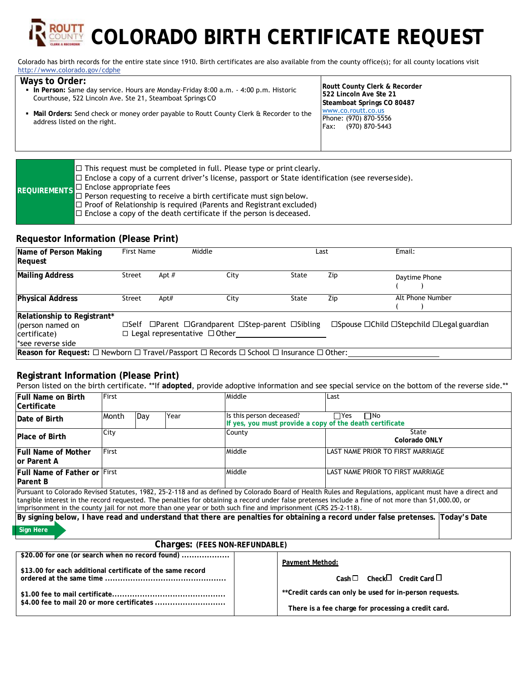# **COLORADO BIRTH CERTIFICATE REQUEST**

Colorado has birth records for the entire state since 1910. Birth certificates are also available from the county office(s); for all county locations visit http://www.colorado.gov/cdphe

#### **Ways to Order: In Person:** Same day service. Hours are Monday-Friday 8:00 a.m. - 4:00 p.m. Historic Courthouse, 522 Lincoln Ave. Ste 21, Steamboat Springs CO **Mail Orders:** Send check or money order payable to Routt County Clerk & Recorder to the address listed on the right. **Routt County Clerk & Recorder 522 Lincoln Ave Ste 21 Steamboat Springs CO 80487**  www.co.routt.co.us Phone: (970) 870-5556 Fax: (970) 870-5443

|  | $\Box$ This request must be completed in full. Please type or print clearly.<br>$\Box$ Enclose a copy of a current driver's license, passport or State identification (see reverseside). |
|--|------------------------------------------------------------------------------------------------------------------------------------------------------------------------------------------|
|  | REQUIREMENTS $\Box$ Enclose appropriate fees<br>REQUIREMENTS $\Box$ Person requesting to receive a birth certificate must sign below.                                                    |
|  | $\Box$ Proof of Relationship is required (Parents and Registrant excluded)                                                                                                               |
|  | $\Box$ Enclose a copy of the death certificate if the person is deceased.                                                                                                                |

### **Requestor Information (Please Print)**

| Name of Person Making<br>Request                                                                                                                                                                                   | First Name    |       | Middle |       | Last                                                              | Email:           |
|--------------------------------------------------------------------------------------------------------------------------------------------------------------------------------------------------------------------|---------------|-------|--------|-------|-------------------------------------------------------------------|------------------|
| <b>Mailing Address</b>                                                                                                                                                                                             | Street        | Apt # | City   | State | Zip                                                               | Daytime Phone    |
| <b>Physical Address</b>                                                                                                                                                                                            | <b>Street</b> | Apt#  | City   | State | Zip                                                               | Alt Phone Number |
| Relationship to Registrant*<br>$\Box$ Self $\Box$ Parent $\Box$ Grandparent $\Box$ Step-parent $\Box$ Sibling<br>(person named on<br>$\Box$ Legal representative $\Box$ Other<br>certificate)<br>*see reverse side |               |       |        |       | $\Box$ Spouse $\Box$ Child $\Box$ Stepchild $\Box$ Legal guardian |                  |
| Reason for Request: $\Box$ Newborn $\Box$ Travel/Passport $\Box$ Records $\Box$ School $\Box$ Insurance $\Box$ Other:                                                                                              |               |       |        |       |                                                                   |                  |

# **Registrant Information (Please Print)**

Person listed on the birth certificate. \*\*If **adopted**, provide adoptive information and see special service on the bottom of the reverse side.\*\*

| <b>Full Name on Birth</b><br><b>Certificate</b>                                                                                  | First |     |        | Middle                                                                                                        | l Last                                                                                                                                                                                                                                                                                                           |
|----------------------------------------------------------------------------------------------------------------------------------|-------|-----|--------|---------------------------------------------------------------------------------------------------------------|------------------------------------------------------------------------------------------------------------------------------------------------------------------------------------------------------------------------------------------------------------------------------------------------------------------|
| Date of Birth                                                                                                                    | Month | Day | Year   | Is this person deceased?<br>If yes, you must provide a copy of the death certificate                          | $\Box$ Yes<br>ΠNo                                                                                                                                                                                                                                                                                                |
| <b>Place of Birth</b>                                                                                                            | City  |     | County | State<br>Colorado ONLY                                                                                        |                                                                                                                                                                                                                                                                                                                  |
| <b>First</b><br><b>Full Name of Mother</b><br>lor Parent A                                                                       |       |     | Middle | ILAST NAME PRIOR TO FIRST MARRIAGE                                                                            |                                                                                                                                                                                                                                                                                                                  |
| <b>Full Name of Father or First</b><br><b>Parent B</b>                                                                           |       |     | Middle | ILAST NAME PRIOR TO FIRST MARRIAGE                                                                            |                                                                                                                                                                                                                                                                                                                  |
|                                                                                                                                  |       |     |        | imprisonment in the county jail for not more than one year or both such fine and imprisonment (CRS 25-2-118). | Pursuant to Colorado Revised Statutes, 1982, 25-2-118 and as defined by Colorado Board of Health Rules and Regulations, applicant must have a direct and<br>tangible interest in the record requested. The penalties for obtaining a record under false pretenses include a fine of not more than \$1,000.00, or |
| By signing below, I have read and understand that there are penalties for obtaining a record under false pretenses. Today's Date |       |     |        |                                                                                                               |                                                                                                                                                                                                                                                                                                                  |

**Sign Here**

#### **Charges: (FEES NON-REFUNDABLE)**

| \$20.00 for one (or search when no record found)           |                                                                |
|------------------------------------------------------------|----------------------------------------------------------------|
| \$13.00 for each additional certificate of the same record | Payment Method:<br>$Cash \Box$ Check $\Box$ Credit Card $\Box$ |
|                                                            |                                                                |
|                                                            | **Credit cards can only be used for in-person requests.        |
|                                                            | There is a fee charge for processing a credit card.            |